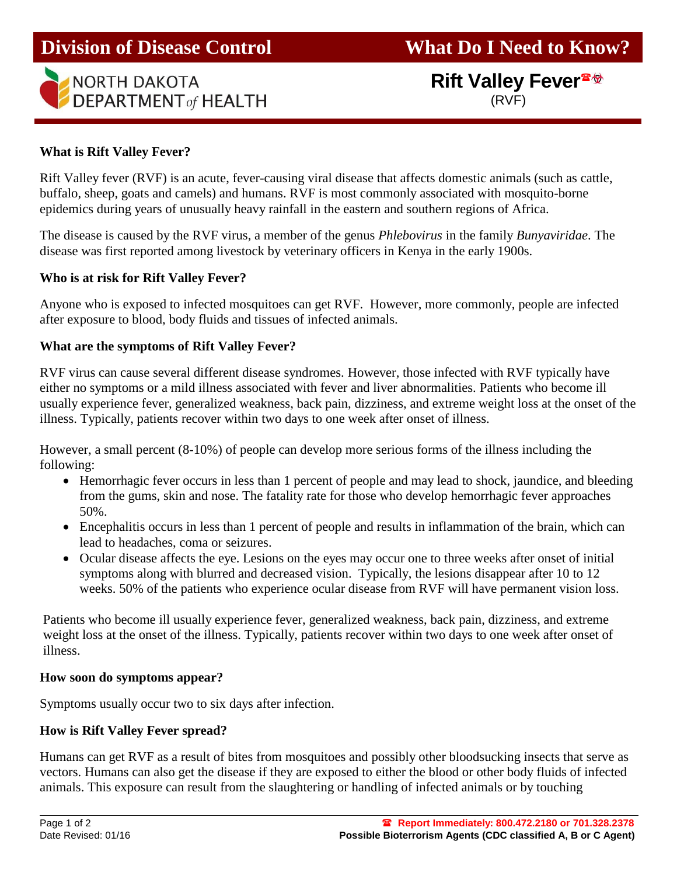

# **Rift Valley Fever** (RVF)

# **What is Rift Valley Fever?**

Rift Valley fever (RVF) is an acute, fever-causing viral disease that affects domestic animals (such as cattle, buffalo, sheep, goats and camels) and humans. RVF is most commonly associated with mosquito-borne epidemics during years of unusually heavy rainfall in the eastern and southern regions of Africa.

The disease is caused by the RVF virus, a member of the genus *Phlebovirus* in the family *Bunyaviridae*. The disease was first reported among livestock by veterinary officers in Kenya in the early 1900s.

## **Who is at risk for Rift Valley Fever?**

Anyone who is exposed to infected mosquitoes can get RVF. However, more commonly, people are infected after exposure to blood, body fluids and tissues of infected animals.

## **What are the symptoms of Rift Valley Fever?**

RVF virus can cause several different disease syndromes. However, those infected with RVF typically have either no symptoms or a mild illness associated with fever and liver abnormalities. Patients who become ill usually experience fever, generalized weakness, back pain, dizziness, and extreme weight loss at the onset of the illness. Typically, patients recover within two days to one week after onset of illness.

However, a small percent (8-10%) of people can develop more serious forms of the illness including the following:

- Hemorrhagic fever occurs in less than 1 percent of people and may lead to shock, jaundice, and bleeding from the gums, skin and nose. The fatality rate for those who develop hemorrhagic fever approaches 50%.
- Encephalitis occurs in less than 1 percent of people and results in inflammation of the brain, which can lead to headaches, coma or seizures.
- Ocular disease affects the eye. Lesions on the eyes may occur one to three weeks after onset of initial symptoms along with blurred and decreased vision. Typically, the lesions disappear after 10 to 12 weeks. 50% of the patients who experience ocular disease from RVF will have permanent vision loss.

Patients who become ill usually experience fever, generalized weakness, back pain, dizziness, and extreme weight loss at the onset of the illness. Typically, patients recover within two days to one week after onset of illness.

#### **How soon do symptoms appear?**

Symptoms usually occur two to six days after infection.

## **How is Rift Valley Fever spread?**

Humans can get RVF as a result of bites from mosquitoes and possibly other bloodsucking insects that serve as vectors. Humans can also get the disease if they are exposed to either the blood or other body fluids of infected animals. This exposure can result from the slaughtering or handling of infected animals or by touching